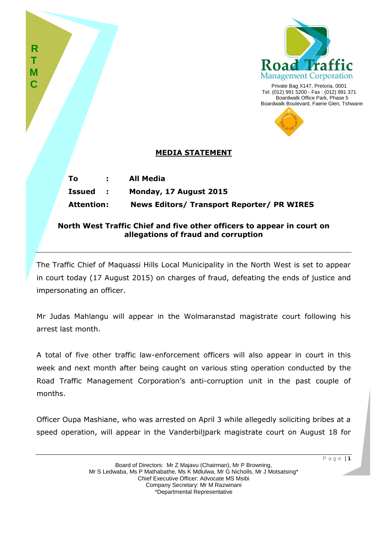

Private Bag X147, Pretoria, 0001 Tel: (012) 991 5200 - Fax : (012) 991 371 Boardwalk Office Park, Phase 5 Boardwalk Boulevard, Faerie Glen, Tshwane



## **MEDIA STATEMENT**

**R T M C**

| Τo                | All Media                                  |
|-------------------|--------------------------------------------|
| <b>Issued :</b>   | Monday, 17 August 2015                     |
| <b>Attention:</b> | News Editors/ Transport Reporter/ PR WIRES |

## **North West Traffic Chief and five other officers to appear in court on allegations of fraud and corruption**

The Traffic Chief of Maquassi Hills Local Municipality in the North West is set to appear in court today (17 August 2015) on charges of fraud, defeating the ends of justice and impersonating an officer.

Mr Judas Mahlangu will appear in the Wolmaranstad magistrate court following his arrest last month.

A total of five other traffic law-enforcement officers will also appear in court in this week and next month after being caught on various sting operation conducted by the Road Traffic Management Corporation's anti-corruption unit in the past couple of months.

Officer Oupa Mashiane, who was arrested on April 3 while allegedly soliciting bribes at a speed operation, will appear in the Vanderbiljpark magistrate court on August 18 for

P a g e | **1**